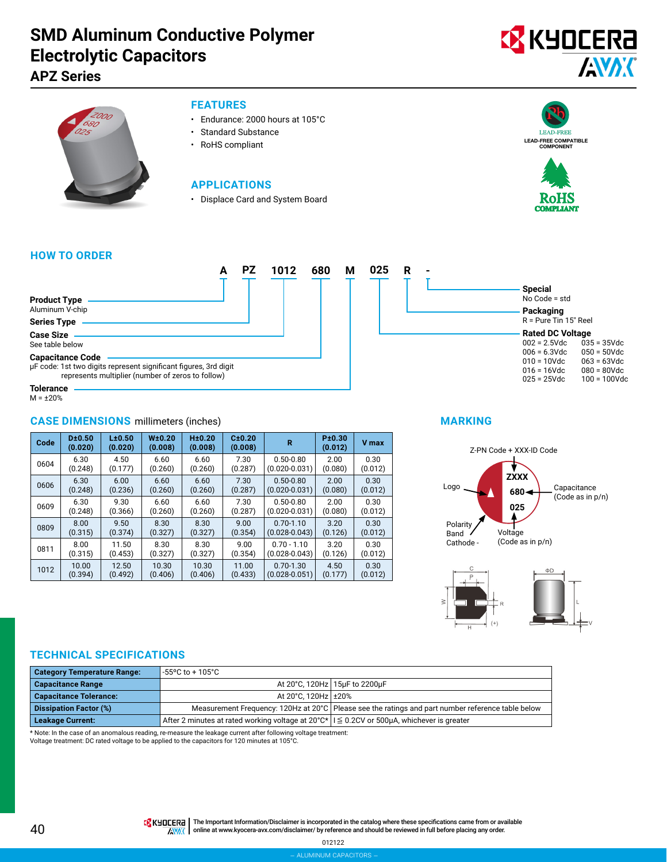# **SMD Aluminum Conductive Polymer Electrolytic Capacitors**

**APZ Series**





### **FEATURES**

- Endurance: 2000 hours at 105°C
- Standard Substance
- RoHS compliant

### **APPLICATIONS**

• Displace Card and System Board





### **HOW TO ORDER**

|                                                                                                                                                  | <b>PZ</b> | 1012 | 680 | М | 025 | R |  |
|--------------------------------------------------------------------------------------------------------------------------------------------------|-----------|------|-----|---|-----|---|--|
|                                                                                                                                                  |           |      |     |   |     |   |  |
| <b>Product Type</b><br>Aluminum V-chip                                                                                                           |           |      |     |   |     |   |  |
| <b>Series Type</b>                                                                                                                               |           |      |     |   |     |   |  |
| <b>Case Size</b><br>See table below                                                                                                              |           |      |     |   |     |   |  |
| <b>Capacitance Code</b><br>µF code: 1st two digits represent significant figures, 3rd digit<br>represents multiplier (number of zeros to follow) |           |      |     |   |     |   |  |
| Tolerance                                                                                                                                        |           |      |     |   |     |   |  |

M = ±20%

### **CASE DIMENSIONS** millimeters (inches)

| Code | D±0.50<br>(0.020) | L±0.50<br>(0.020) | W±0.20<br>(0.008) | H±0.20<br>(0.008) | C±0.20<br>(0.008) | R                 | P±0.30<br>(0.012) | V max   |
|------|-------------------|-------------------|-------------------|-------------------|-------------------|-------------------|-------------------|---------|
| 0604 | 6.30              | 4.50              | 6.60              | 6.60              | 7.30              | $0.50 - 0.80$     | 2.00              | 0.30    |
|      | (0.248)           | (0.177)           | (0.260)           | (0.260)           | (0.287)           | $(0.020 - 0.031)$ | (0.080)           | (0.012) |
| 0606 | 6.30              | 6.00              | 6.60              | 6.60              | 7.30              | $0.50 - 0.80$     | 2.00              | 0.30    |
|      | (0.248)           | (0.236)           | (0.260)           | (0.260)           | (0.287)           | $(0.020 - 0.031)$ | (0.080)           | (0.012) |
| 0609 | 6.30              | 9.30              | 6.60              | 6.60              | 7.30              | $0.50 - 0.80$     | 2.00              | 0.30    |
|      | (0.248)           | (0.366)           | (0.260)           | (0.260)           | (0.287)           | $(0.020 - 0.031)$ | (0.080)           | (0.012) |
| 0809 | 8.00              | 9.50              | 8.30              | 8.30              | 9.00              | $0.70 - 1.10$     | 3.20              | 0.30    |
|      | (0.315)           | (0.374)           | (0.327)           | (0.327)           | (0.354)           | $(0.028 - 0.043)$ | (0.126)           | (0.012) |
| 0811 | 8.00              | 11.50             | 8.30              | 8.30              | 9.00              | $0.70 - 1.10$     | 3.20              | 0.30    |
|      | (0.315)           | (0.453)           | (0.327)           | (0.327)           | (0.354)           | $(0.028 - 0.043)$ | (0.126)           | (0.012) |
| 1012 | 10.00             | 12.50             | 10.30             | 10.30             | 11.00             | $0.70 - 1.30$     | 4.50              | 0.30    |
|      | (0.394)           | (0.492)           | (0.406)           | (0.406)           | (0.433)           | $(0.028 - 0.051)$ | (0.177)           | (0.012) |



### **MARKING**





### **TECHNICAL SPECIFICATIONS**

| <b>Category Temperature Range:</b> | l -55°C to + 105°C                                                                                            |                                                                                                     |
|------------------------------------|---------------------------------------------------------------------------------------------------------------|-----------------------------------------------------------------------------------------------------|
| <b>Capacitance Range</b>           |                                                                                                               | At 20°C, 120Hz   15µF to 2200µF                                                                     |
| <b>Capacitance Tolerance:</b>      | At 20°C. 120Hz ± 20%                                                                                          |                                                                                                     |
| <b>Dissipation Factor (%)</b>      |                                                                                                               | Measurement Frequency: 120Hz at 20°C   Please see the ratings and part number reference table below |
| <b>Leakage Current:</b>            | $\mid$ After 2 minutes at rated working voltage at 20°C* $\mid\mid \leq$ 0.2CV or 500µA, whichever is greater |                                                                                                     |

\* Note: In the case of an anomalous reading, re-measure the leakage current after following voltage treatment:

Voltage treatment: DC rated voltage to be applied to the capacitors for 120 minutes at 105°C.

THE Important Information/Disclaimer is incorporated in the catalog where these specifications came from or available **AVAK** online at [www.kyocera-avx.com/disclaimer/](http://www.kyocera-avx.com/disclaimer/) by reference and should be reviewed in full before placing any order.

012122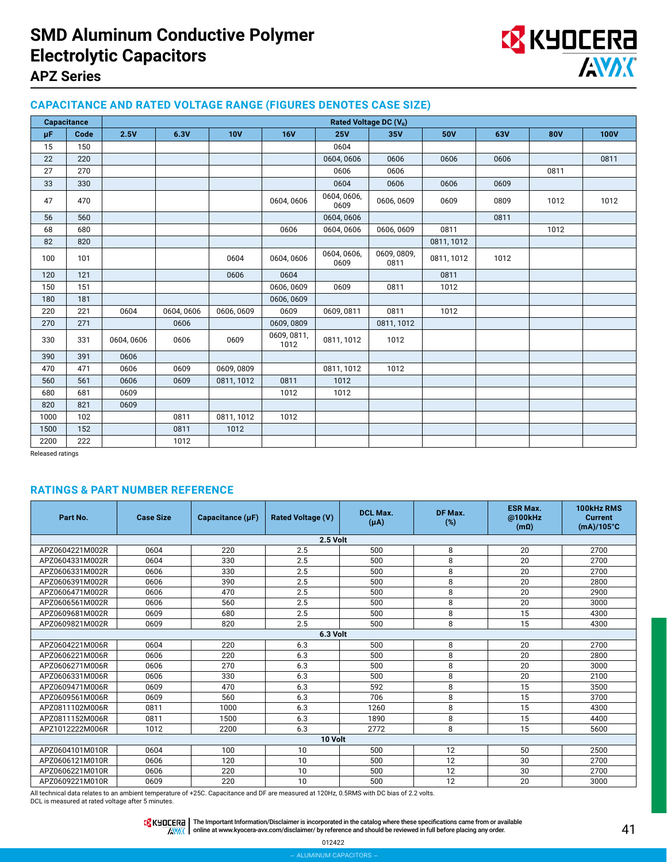# **SMD Aluminum Conductive Polymer Electrolytic Capacitors**



### **APZ Series**

### **CAPACITANCE AND RATED VOLTAGE RANGE (FIGURES DENOTES CASE SIZE)**

|      | <b>Capacitance</b> |            | Rated Voltage DC (V <sub>R</sub> ) |            |                     |                     |                     |            |      |            |             |
|------|--------------------|------------|------------------------------------|------------|---------------------|---------------------|---------------------|------------|------|------------|-------------|
| μF.  | Code               | 2.5V       | 6.3V                               | <b>10V</b> | <b>16V</b>          | 25V                 | 35V                 | <b>50V</b> | 63V  | <b>80V</b> | <b>100V</b> |
| 15   | 150                |            |                                    |            |                     | 0604                |                     |            |      |            |             |
| 22   | 220                |            |                                    |            |                     | 0604,0606           | 0606                | 0606       | 0606 |            | 0811        |
| 27   | 270                |            |                                    |            |                     | 0606                | 0606                |            |      | 0811       |             |
| 33   | 330                |            |                                    |            |                     | 0604                | 0606                | 0606       | 0609 |            |             |
| 47   | 470                |            |                                    |            | 0604, 0606          | 0604, 0606,<br>0609 | 0606, 0609          | 0609       | 0809 | 1012       | 1012        |
| 56   | 560                |            |                                    |            |                     | 0604, 0606          |                     |            | 0811 |            |             |
| 68   | 680                |            |                                    |            | 0606                | 0604,0606           | 0606, 0609          | 0811       |      | 1012       |             |
| 82   | 820                |            |                                    |            |                     |                     |                     | 0811, 1012 |      |            |             |
| 100  | 101                |            |                                    | 0604       | 0604,0606           | 0604, 0606,<br>0609 | 0609, 0809,<br>0811 | 0811, 1012 | 1012 |            |             |
| 120  | 121                |            |                                    | 0606       | 0604                |                     |                     | 0811       |      |            |             |
| 150  | 151                |            |                                    |            | 0606, 0609          | 0609                | 0811                | 1012       |      |            |             |
| 180  | 181                |            |                                    |            | 0606, 0609          |                     |                     |            |      |            |             |
| 220  | 221                | 0604       | 0604,0606                          | 0606, 0609 | 0609                | 0609, 0811          | 0811                | 1012       |      |            |             |
| 270  | 271                |            | 0606                               |            | 0609,0809           |                     | 0811, 1012          |            |      |            |             |
| 330  | 331                | 0604, 0606 | 0606                               | 0609       | 0609, 0811,<br>1012 | 0811, 1012          | 1012                |            |      |            |             |
| 390  | 391                | 0606       |                                    |            |                     |                     |                     |            |      |            |             |
| 470  | 471                | 0606       | 0609                               | 0609,0809  |                     | 0811, 1012          | 1012                |            |      |            |             |
| 560  | 561                | 0606       | 0609                               | 0811, 1012 | 0811                | 1012                |                     |            |      |            |             |
| 680  | 681                | 0609       |                                    |            | 1012                | 1012                |                     |            |      |            |             |
| 820  | 821                | 0609       |                                    |            |                     |                     |                     |            |      |            |             |
| 1000 | 102                |            | 0811                               | 0811, 1012 | 1012                |                     |                     |            |      |            |             |
| 1500 | 152                |            | 0811                               | 1012       |                     |                     |                     |            |      |            |             |
| 2200 | 222                |            | 1012                               |            |                     |                     |                     |            |      |            |             |

Released ratings

### **RATINGS & PART NUMBER REFERENCE**

| Part No.        | <b>Case Size</b> | Capacitance $(\mu F)$                            | <b>Rated Voltage (V)</b> | <b>DCL Max.</b><br>$(\mu A)$ | DF Max.<br>(%)                    | <b>ESR Max.</b><br>@100kHz<br>$(m\Omega)$ | 100kHz RMS<br><b>Current</b><br>$(mA)/105^{\circ}C$ |  |  |  |
|-----------------|------------------|--------------------------------------------------|--------------------------|------------------------------|-----------------------------------|-------------------------------------------|-----------------------------------------------------|--|--|--|
|                 | 2.5 Volt         |                                                  |                          |                              |                                   |                                           |                                                     |  |  |  |
| APZ0604221M002R | 0604             | 220                                              | 2.5                      | 500                          | 8                                 | 20                                        | 2700                                                |  |  |  |
| APZ0604331M002R | 0604             | 330                                              | 2.5                      | 500                          | 8                                 | 20                                        | 2700                                                |  |  |  |
| APZ0606331M002R | 0606             | 330                                              | 2.5                      | 500                          | 8                                 | 20                                        | 2700                                                |  |  |  |
| APZ0606391M002R | 0606             | 390                                              | 2.5                      | 500                          | 8                                 | 20                                        | 2800                                                |  |  |  |
| APZ0606471M002R | 0606             | 470                                              | 2.5                      | 500                          | 8                                 | 20                                        | 2900                                                |  |  |  |
| APZ0606561M002R | 0606             | 560                                              | 2.5                      | 500                          | 8                                 | 20                                        | 3000                                                |  |  |  |
| APZ0609681M002R | 0609             | 680                                              | 2.5                      | 500                          | 8                                 | 15                                        | 4300                                                |  |  |  |
| APZ0609821M002R | 0609             | 820                                              | 2.5                      | 500                          | 8                                 | 15                                        | 4300                                                |  |  |  |
| 6.3 Volt        |                  |                                                  |                          |                              |                                   |                                           |                                                     |  |  |  |
| APZ0604221M006R | 0604             | 220                                              | 6.3                      | 500                          | 8                                 | 20                                        | 2700                                                |  |  |  |
| APZ0606221M006R | 0606             | 220                                              | 6.3                      | 500                          | 8                                 | 20                                        | 2800                                                |  |  |  |
| APZ0606271M006R | 0606             | 270                                              | 6.3                      | 500                          | 8                                 | 20                                        | 3000                                                |  |  |  |
| APZ0606331M006R | 0606             | 330                                              | 6.3                      | 500                          | 8                                 | 20                                        | 2100                                                |  |  |  |
| APZ0609471M006R | 0609             | 470                                              | 6.3                      | 592                          | 8                                 | 15                                        | 3500                                                |  |  |  |
| APZ0609561M006R | 0609             | 560                                              | 6.3                      | 706                          | 8                                 | 15                                        | 3700                                                |  |  |  |
| APZ0811102M006R | 0811             | 1000                                             | 6.3                      | 1260                         | 8                                 | 15                                        | 4300                                                |  |  |  |
| APZ0811152M006R | 0811             | 1500                                             | 6.3                      | 1890                         | 8                                 | 15                                        | 4400                                                |  |  |  |
| APZ1012222M006R | 1012             | 2200                                             | 6.3                      | 2772                         | 8                                 | 15                                        | 5600                                                |  |  |  |
|                 |                  |                                                  | 10 Volt                  |                              |                                   |                                           |                                                     |  |  |  |
| APZ0604101M010R | 0604             | 100                                              | 10                       | 500                          | 12                                | 50                                        | 2500                                                |  |  |  |
| APZ0606121M010R | 0606             | 120                                              | 10                       | 500                          | 12                                | 30                                        | 2700                                                |  |  |  |
| APZ0606221M010R | 0606             | 220                                              | 10                       | 500                          | 12                                | 30                                        | 2700                                                |  |  |  |
| APZ0609221M010R | 0609<br>.        | 220<br>$\sim$ $\sim$ $\sim$ $\sim$<br>$\sim$ $-$ | 10<br>.                  | 500<br>$\cdots$              | 12<br>$\sim$ $\sim$ $\sim$ $\sim$ | 20                                        | 3000                                                |  |  |  |

All technical data relates to an ambient temperature of +25C. Capacitance and DF are measured at 120Hz, 0.5RMS with DC bias of 2.2 volts.

DCL is measured at rated voltage after 5 minutes.

The Important Information/Disclaimer is incorporated in the catalog where these specifications came from or available<br>online at [www.kyocera-avx.com/disclaimer/](http://www.kyocera-avx.com/disclaimer/) by reference and should be reviewed in full before placing any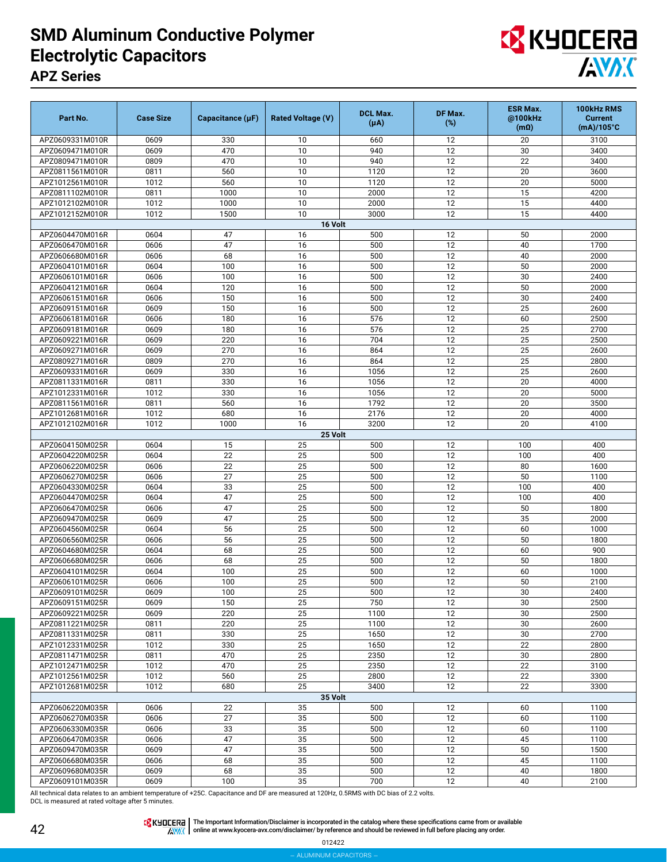## **SMD Aluminum Conductive Polymer Electrolytic Capacitors APZ Series**



| Part No.                           | <b>Case Size</b> | Capacitance $(\mu F)$ | <b>Rated Voltage (V)</b> | <b>DCL Max.</b><br>$(\mu A)$ | DF Max.<br>(%)        | <b>ESR Max.</b><br>@100kHz<br>$(m\Omega)$ | 100kHz RMS<br><b>Current</b><br>$(mA)/105^{\circ}C$ |
|------------------------------------|------------------|-----------------------|--------------------------|------------------------------|-----------------------|-------------------------------------------|-----------------------------------------------------|
| APZ0609331M010R                    | 0609             | 330                   | 10                       | 660                          | 12                    | 20                                        | 3100                                                |
| APZ0609471M010R                    | 0609             | 470                   | 10                       | 940                          | 12                    | 30                                        | 3400                                                |
| APZ0809471M010R                    | 0809             | 470                   | 10                       | 940                          | 12                    | 22                                        | 3400                                                |
| APZ0811561M010R                    | 0811             | 560                   | 10                       | 1120                         | 12                    | 20                                        | 3600                                                |
| APZ1012561M010R                    | 1012             | 560                   | 10                       | 1120                         | 12                    | 20                                        | 5000                                                |
| APZ0811102M010R                    | 0811             | 1000                  | 10                       | 2000                         | 12                    | 15                                        | 4200                                                |
| APZ1012102M010R                    | 1012             | 1000                  | 10                       | 2000                         | 12                    | 15                                        | 4400                                                |
| APZ1012152M010R                    | 1012             | 1500                  | 10                       | 3000                         | 12                    | 15                                        | 4400                                                |
|                                    |                  |                       | 16 Volt                  |                              |                       |                                           |                                                     |
| APZ0604470M016R                    | 0604             | 47                    | 16                       | 500                          | 12                    | 50                                        | 2000                                                |
| APZ0606470M016R                    | 0606             | 47                    | 16                       | 500                          | 12                    | 40                                        | 1700                                                |
| APZ0606680M016R                    | 0606             | 68                    | 16                       | 500                          | 12                    | 40                                        | 2000                                                |
| APZ0604101M016R                    | 0604<br>0606     | 100                   | 16<br>16                 | 500                          | 12<br>$\overline{12}$ | 50<br>30                                  | 2000                                                |
| APZ0606101M016R<br>APZ0604121M016R | 0604             | 100<br>120            | 16                       | 500<br>500                   | 12                    | 50                                        | 2400<br>2000                                        |
| APZ0606151M016R                    | 0606             | 150                   | 16                       | 500                          | 12                    | 30                                        | 2400                                                |
| APZ0609151M016R                    | 0609             | 150                   | 16                       | 500                          | 12                    | 25                                        | 2600                                                |
| APZ0606181M016R                    | 0606             | 180                   | 16                       | 576                          | 12                    | 60                                        | 2500                                                |
| APZ0609181M016R                    | 0609             | 180                   | 16                       | 576                          | 12                    | 25                                        | 2700                                                |
| APZ0609221M016R                    | 0609             | 220                   | 16                       | 704                          | 12                    | 25                                        | 2500                                                |
| APZ0609271M016R                    | 0609             | 270                   | 16                       | 864                          | 12                    | 25                                        | 2600                                                |
| APZ0809271M016R                    | 0809             | 270                   | 16                       | 864                          | 12                    | 25                                        | 2800                                                |
| APZ0609331M016R                    | 0609             | 330                   | 16                       | 1056                         | 12                    | 25                                        | 2600                                                |
| APZ0811331M016R                    | 0811             | 330                   | 16                       | 1056                         | 12                    | 20                                        | 4000                                                |
| APZ1012331M016R                    | 1012             | 330                   | 16                       | 1056                         | 12                    | 20                                        | 5000                                                |
| APZ0811561M016R                    | 0811             | 560                   | 16                       | 1792                         | 12                    | 20                                        | 3500                                                |
| APZ1012681M016R                    | 1012             | 680                   | 16                       | 2176                         | 12                    | 20                                        | 4000                                                |
| APZ1012102M016R                    | 1012             | 1000                  | 16                       | 3200                         | 12                    | 20                                        | 4100                                                |
|                                    |                  |                       | 25 Volt                  |                              |                       |                                           |                                                     |
| APZ0604150M025R                    | 0604             | 15                    | 25                       | 500                          | 12                    | 100                                       | 400                                                 |
| APZ0604220M025R                    | 0604             | 22                    | 25                       | 500                          | 12                    | 100                                       | 400                                                 |
| APZ0606220M025R                    | 0606             | 22                    | 25                       | 500                          | 12                    | 80                                        | 1600                                                |
| APZ0606270M025R                    | 0606             | 27                    | 25                       | 500                          | 12                    | 50                                        | 1100                                                |
| APZ0604330M025R                    | 0604             | 33                    | 25                       | 500                          | 12                    | 100                                       | 400                                                 |
| APZ0604470M025R                    | 0604             | 47                    | 25                       | 500                          | 12                    | 100                                       | 400                                                 |
| APZ0606470M025R<br>APZ0609470M025R | 0606<br>0609     | 47<br>47              | 25<br>25                 | 500<br>500                   | 12<br>12              | 50<br>35                                  | 1800<br>2000                                        |
| APZ0604560M025R                    | 0604             | 56                    | 25                       | 500                          | 12                    | 60                                        | 1000                                                |
| APZ0606560M025R                    | 0606             | 56                    | 25                       | 500                          | 12                    | 50                                        | 1800                                                |
| APZ0604680M025R                    | 0604             | 68                    | 25                       | 500                          | 12                    | 60                                        | 900                                                 |
| APZ0606680M025R                    | 0606             | 68                    | 25                       | 500                          | 12                    | 50                                        | 1800                                                |
| APZ0604101M025R                    | 0604             | 100                   | 25                       | 500                          | 12                    | 60                                        | 1000                                                |
| APZ0606101M025R                    | 0606             | 100                   | 25                       | 500                          | 12                    | 50                                        | 2100                                                |
| APZ0609101M025R                    | 0609             | 100                   | $\overline{25}$          | 500                          | 12                    | 30                                        | 2400                                                |
| APZ0609151M025R                    | 0609             | 150                   | 25                       | 750                          | 12                    | 30                                        | 2500                                                |
| APZ0609221M025R                    | 0609             | 220                   | 25                       | 1100                         | 12                    | 30                                        | 2500                                                |
| APZ0811221M025R                    | 0811             | 220                   | 25                       | 1100                         | 12                    | 30                                        | 2600                                                |
| APZ0811331M025R                    | 0811             | 330                   | 25                       | 1650                         | 12                    | 30                                        | 2700                                                |
| APZ1012331M025R                    | 1012             | 330                   | 25                       | 1650                         | 12                    | 22                                        | 2800                                                |
| APZ0811471M025R                    | 0811             | 470                   | 25                       | 2350                         | 12                    | 30                                        | 2800                                                |
| APZ1012471M025R                    | 1012             | 470                   | 25                       | 2350                         | 12                    | 22                                        | 3100                                                |
| APZ1012561M025R                    | 1012             | 560                   | 25                       | 2800                         | 12                    | 22                                        | 3300                                                |
| APZ1012681M025R                    | 1012             | 680                   | 25<br>35 Volt            | 3400                         | 12                    | 22                                        | 3300                                                |
| APZ0606220M035R                    | 0606             | 22                    | 35                       | 500                          | 12                    | 60                                        | 1100                                                |
| APZ0606270M035R                    | 0606             | 27                    | 35                       | 500                          | 12                    | 60                                        | 1100                                                |
| APZ0606330M035R                    | 0606             | 33                    | 35                       | 500                          | 12                    | 60                                        | 1100                                                |
| APZ0606470M035R                    | 0606             | 47                    | 35                       | 500                          | 12                    | 45                                        | 1100                                                |
| APZ0609470M035R                    | 0609             | 47                    | 35                       | 500                          | 12                    | 50                                        | 1500                                                |
| APZ0606680M035R                    | 0606             | 68                    | 35                       | 500                          | 12                    | 45                                        | 1100                                                |
| APZ0609680M035R                    | 0609             | 68                    | 35                       | 500                          | 12                    | 40                                        | 1800                                                |
| APZ0609101M035R                    | 0609             | 100                   | 35                       | 700                          | 12                    | 40                                        | 2100                                                |

All technical data relates to an ambient temperature of +25C. Capacitance and DF are measured at 120Hz, 0.5RMS with DC bias of 2.2 volts. DCL is measured at rated voltage after 5 minutes.

The Important Information/Disclaimer is incorporated in the catalog where these specifications came from or available<br>online at [www.kyocera-avx.com/disclaimer/](http://www.kyocera-avx.com/disclaimer/) by reference and should be reviewed in full before placing any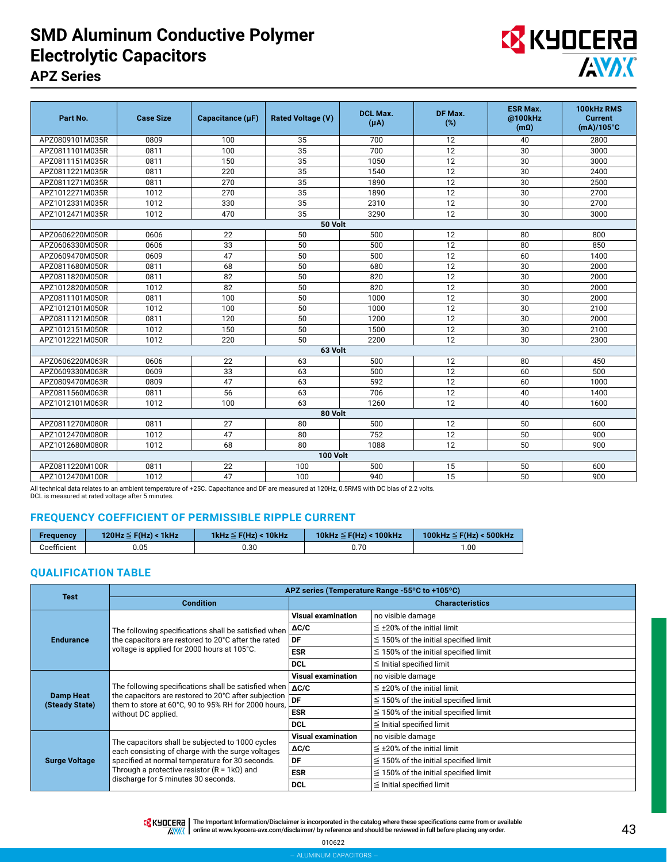## **SMD Aluminum Conductive Polymer Electrolytic Capacitors APZ Series**



| Part No.        | <b>Case Size</b> | Capacitance (µF) | <b>Rated Voltage (V)</b> | <b>DCL Max.</b><br>$(\mu A)$ | DF Max.<br>(%)  | <b>ESR Max.</b><br>@100kHz<br>$(m\Omega)$ | 100kHz RMS<br><b>Current</b><br>$(mA)/105^{\circ}C$ |
|-----------------|------------------|------------------|--------------------------|------------------------------|-----------------|-------------------------------------------|-----------------------------------------------------|
| APZ0809101M035R | 0809             | 100              | 35                       | 700                          | 12              | 40                                        | 2800                                                |
| APZ0811101M035R | 0811             | 100              | 35                       | 700                          | $\overline{12}$ | 30                                        | 3000                                                |
| APZ0811151M035R | 0811             | 150              | 35                       | 1050                         | 12              | 30                                        | 3000                                                |
| APZ0811221M035R | 0811             | 220              | 35                       | 1540                         | 12              | 30                                        | 2400                                                |
| APZ0811271M035R | 0811             | 270              | 35                       | 1890                         | 12              | 30                                        | 2500                                                |
| APZ1012271M035R | 1012             | 270              | 35                       | 1890                         | 12              | 30                                        | 2700                                                |
| APZ1012331M035R | 1012             | 330              | 35                       | 2310                         | 12              | 30                                        | 2700                                                |
| APZ1012471M035R | 1012             | 470              | 35                       | 3290                         | 12              | 30                                        | 3000                                                |
|                 |                  |                  | 50 Volt                  |                              |                 |                                           |                                                     |
| APZ0606220M050R | 0606             | 22               | 50                       | 500                          | 12              | 80                                        | 800                                                 |
| APZ0606330M050R | 0606             | 33               | 50                       | 500                          | 12              | 80                                        | 850                                                 |
| APZ0609470M050R | 0609             | 47               | 50                       | 500                          | 12              | 60                                        | 1400                                                |
| APZ0811680M050R | 0811             | 68               | 50                       | 680                          | 12              | 30                                        | 2000                                                |
| APZ0811820M050R | 0811             | 82               | 50                       | 820                          | 12              | 30                                        | 2000                                                |
| APZ1012820M050R | 1012             | 82               | 50                       | 820                          | 12              | 30                                        | 2000                                                |
| APZ0811101M050R | 0811             | 100              | 50                       | 1000                         | 12              | 30                                        | 2000                                                |
| APZ1012101M050R | 1012             | 100              | 50                       | 1000                         | 12              | 30                                        | 2100                                                |
| APZ0811121M050R | 0811             | 120              | 50                       | 1200                         | 12              | 30                                        | 2000                                                |
| APZ1012151M050R | 1012             | 150              | 50                       | 1500                         | 12              | 30                                        | 2100                                                |
| APZ1012221M050R | 1012             | 220              | 50                       | 2200                         | 12              | 30                                        | 2300                                                |
|                 |                  |                  | 63 Volt                  |                              |                 |                                           |                                                     |
| APZ0606220M063R | 0606             | 22               | 63                       | 500                          | 12              | 80                                        | 450                                                 |
| APZ0609330M063R | 0609             | 33               | 63                       | 500                          | 12              | 60                                        | 500                                                 |
| APZ0809470M063R | 0809             | 47               | 63                       | 592                          | 12              | 60                                        | 1000                                                |
| APZ0811560M063R | 0811             | 56               | 63                       | 706                          | 12              | 40                                        | 1400                                                |
| APZ1012101M063R | 1012             | 100              | 63                       | 1260                         | 12              | 40                                        | 1600                                                |
|                 |                  |                  | 80 Volt                  |                              |                 |                                           |                                                     |
| APZ0811270M080R | 0811             | 27               | 80                       | 500                          | 12              | 50                                        | 600                                                 |
| APZ1012470M080R | 1012             | 47               | 80                       | 752                          | 12              | 50                                        | 900                                                 |
| APZ1012680M080R | 1012             | 68               | 80                       | 1088                         | 12              | 50                                        | 900                                                 |
|                 |                  |                  | <b>100 Volt</b>          |                              |                 |                                           |                                                     |
| APZ0811220M100R | 0811             | 22               | 100                      | 500                          | 15              | 50                                        | 600                                                 |
| APZ1012470M100R | 1012             | 47               | 100                      | 940                          | 15              | 50                                        | 900                                                 |

All technical data relates to an ambient temperature of +25C. Capacitance and DF are measured at 120Hz, 0.5RMS with DC bias of 2.2 volts.

DCL is measured at rated voltage after 5 minutes.

#### **FREQUENCY COEFFICIENT OF PERMISSIBLE RIPPLE CURRENT**

| Frequency   | 120Hz $\leq$ F(Hz) < 1kHz | 1kHz $\leq$ F(Hz) < 10kHz | 10kHz $\leq$ F(Hz) < 100kHz | 100kHz $\leq$ F(Hz) < 500kHz |
|-------------|---------------------------|---------------------------|-----------------------------|------------------------------|
| Coefficient | 0.05                      | 0.30                      | Ა.70                        | 1.00                         |

#### **QUALIFICATION TABLE**

| <b>Test</b>                        | APZ series (Temperature Range -55°C to +105°C)                                                                                                                                             |                           |                                            |  |  |  |  |
|------------------------------------|--------------------------------------------------------------------------------------------------------------------------------------------------------------------------------------------|---------------------------|--------------------------------------------|--|--|--|--|
|                                    | <b>Condition</b>                                                                                                                                                                           |                           | <b>Characteristics</b>                     |  |  |  |  |
|                                    |                                                                                                                                                                                            | <b>Visual examination</b> | no visible damage                          |  |  |  |  |
|                                    | The following specifications shall be satisfied when                                                                                                                                       | $\Delta C/C$              | $\leq$ ±20% of the initial limit           |  |  |  |  |
| <b>Endurance</b>                   | the capacitors are restored to 20°C after the rated                                                                                                                                        | DF                        | $\leq$ 150% of the initial specified limit |  |  |  |  |
|                                    | voltage is applied for 2000 hours at 105°C.                                                                                                                                                | <b>ESR</b>                | $\leq$ 150% of the initial specified limit |  |  |  |  |
|                                    |                                                                                                                                                                                            | <b>DCL</b>                | $\leq$ Initial specified limit             |  |  |  |  |
|                                    |                                                                                                                                                                                            | <b>Visual examination</b> | no visible damage                          |  |  |  |  |
|                                    | The following specifications shall be satisfied when<br>the capacitors are restored to 20°C after subjection<br>them to store at 60°C, 90 to 95% RH for 2000 hours,<br>without DC applied. | $\Delta C/C$              | $\leq$ ±20% of the initial limit           |  |  |  |  |
| <b>Damp Heat</b><br>(Steady State) |                                                                                                                                                                                            | DF                        | $\leq$ 150% of the initial specified limit |  |  |  |  |
|                                    |                                                                                                                                                                                            | <b>ESR</b>                | $\leq$ 150% of the initial specified limit |  |  |  |  |
|                                    |                                                                                                                                                                                            | <b>DCL</b>                | $\leq$ Initial specified limit             |  |  |  |  |
|                                    | The capacitors shall be subjected to 1000 cycles                                                                                                                                           | <b>Visual examination</b> | no visible damage                          |  |  |  |  |
|                                    | each consisting of charge with the surge voltages                                                                                                                                          | $\Delta C/C$              | $\leq$ ±20% of the initial limit           |  |  |  |  |
| <b>Surge Voltage</b>               | specified at normal temperature for 30 seconds.                                                                                                                                            | DF                        | $\leq$ 150% of the initial specified limit |  |  |  |  |
|                                    | Through a protective resistor $(R = 1k\Omega)$ and<br>discharge for 5 minutes 30 seconds.                                                                                                  | <b>ESR</b>                | $\leq$ 150% of the initial specified limit |  |  |  |  |
|                                    |                                                                                                                                                                                            | <b>DCL</b>                | $\leq$ Initial specified limit             |  |  |  |  |

TR KUDLERA | The Important Information/Disclaimer is incorporated in the catalog where these specifications came from or available AVAX online at [www.kyocera-avx.com/disclaimer/](http://www.kyocera-avx.com/disclaimer/) by reference and should be reviewed in full before placing any order.

> 010622 – aluminum capacitors –